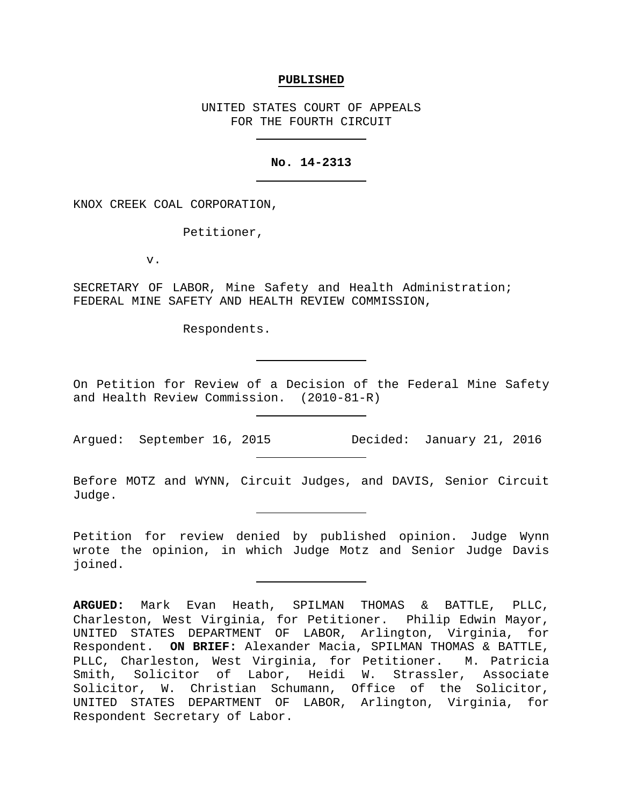#### **PUBLISHED**

UNITED STATES COURT OF APPEALS FOR THE FOURTH CIRCUIT

### **No. 14-2313**

KNOX CREEK COAL CORPORATION,

Petitioner,

v.

SECRETARY OF LABOR, Mine Safety and Health Administration; FEDERAL MINE SAFETY AND HEALTH REVIEW COMMISSION,

Respondents.

On Petition for Review of a Decision of the Federal Mine Safety and Health Review Commission. (2010-81-R)

Before MOTZ and WYNN, Circuit Judges, and DAVIS, Senior Circuit Judge.

Petition for review denied by published opinion. Judge Wynn wrote the opinion, in which Judge Motz and Senior Judge Davis joined.

Argued: September 16, 2015 Decided: January 21, 2016

**ARGUED:** Mark Evan Heath, SPILMAN THOMAS & BATTLE, PLLC, Charleston, West Virginia, for Petitioner. Philip Edwin Mayor, UNITED STATES DEPARTMENT OF LABOR, Arlington, Virginia, for Respondent. **ON BRIEF:** Alexander Macia, SPILMAN THOMAS & BATTLE, PLLC, Charleston, West Virginia, for Petitioner. M. Patricia Smith, Solicitor of Labor, Heidi W. Strassler, Associate Solicitor, W. Christian Schumann, Office of the Solicitor, UNITED STATES DEPARTMENT OF LABOR, Arlington, Virginia, for Respondent Secretary of Labor.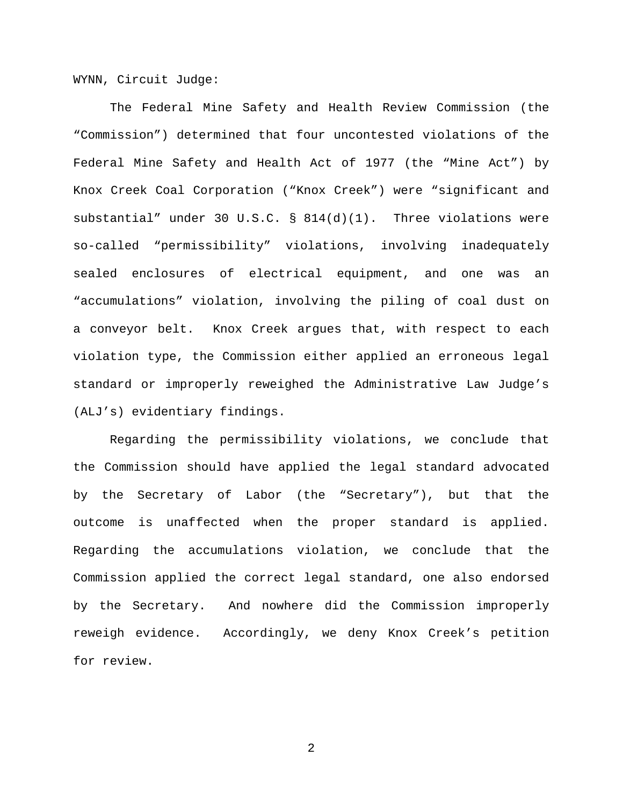WYNN, Circuit Judge:

The Federal Mine Safety and Health Review Commission (the "Commission") determined that four uncontested violations of the Federal Mine Safety and Health Act of 1977 (the "Mine Act") by Knox Creek Coal Corporation ("Knox Creek") were "significant and substantial" under 30 U.S.C. § 814(d)(1). Three violations were so-called "permissibility" violations, involving inadequately sealed enclosures of electrical equipment, and one was an "accumulations" violation, involving the piling of coal dust on a conveyor belt. Knox Creek argues that, with respect to each violation type, the Commission either applied an erroneous legal standard or improperly reweighed the Administrative Law Judge's (ALJ's) evidentiary findings.

Regarding the permissibility violations, we conclude that the Commission should have applied the legal standard advocated by the Secretary of Labor (the "Secretary"), but that the outcome is unaffected when the proper standard is applied. Regarding the accumulations violation, we conclude that the Commission applied the correct legal standard, one also endorsed by the Secretary. And nowhere did the Commission improperly reweigh evidence. Accordingly, we deny Knox Creek's petition for review.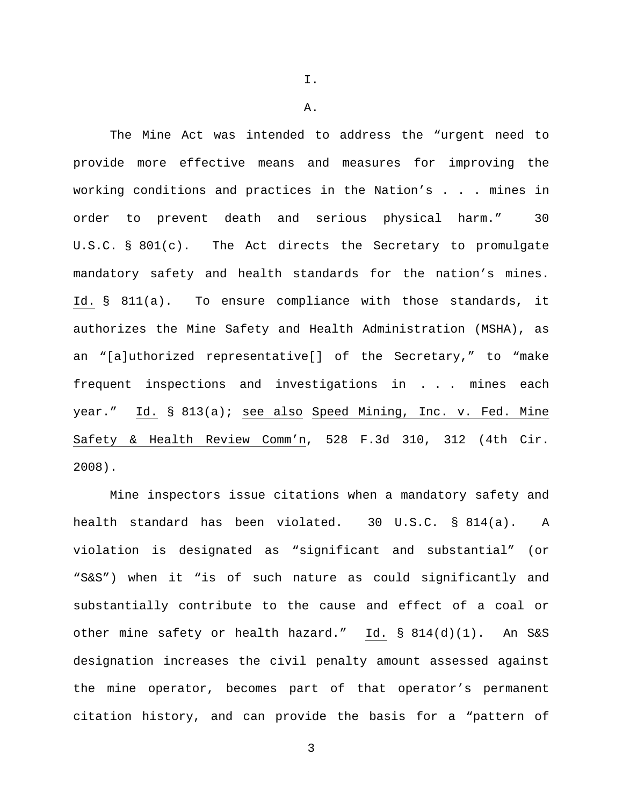The Mine Act was intended to address the "urgent need to provide more effective means and measures for improving the working conditions and practices in the Nation's . . . mines in order to prevent death and serious physical harm." 30 U.S.C. § 801(c). The Act directs the Secretary to promulgate mandatory safety and health standards for the nation's mines. Id. § 811(a). To ensure compliance with those standards, it authorizes the Mine Safety and Health Administration (MSHA), as an "[a]uthorized representative[] of the Secretary," to "make frequent inspections and investigations in . . . mines each year." Id. § 813(a); see also Speed Mining, Inc. v. Fed. Mine Safety & Health Review Comm'n, 528 F.3d 310, 312 (4th Cir. 2008).

Mine inspectors issue citations when a mandatory safety and health standard has been violated. 30 U.S.C. § 814(a). A violation is designated as "significant and substantial" (or "S&S") when it "is of such nature as could significantly and substantially contribute to the cause and effect of a coal or other mine safety or health hazard." Id. § 814(d)(1). An S&S designation increases the civil penalty amount assessed against the mine operator, becomes part of that operator's permanent citation history, and can provide the basis for a "pattern of

3

I.

A.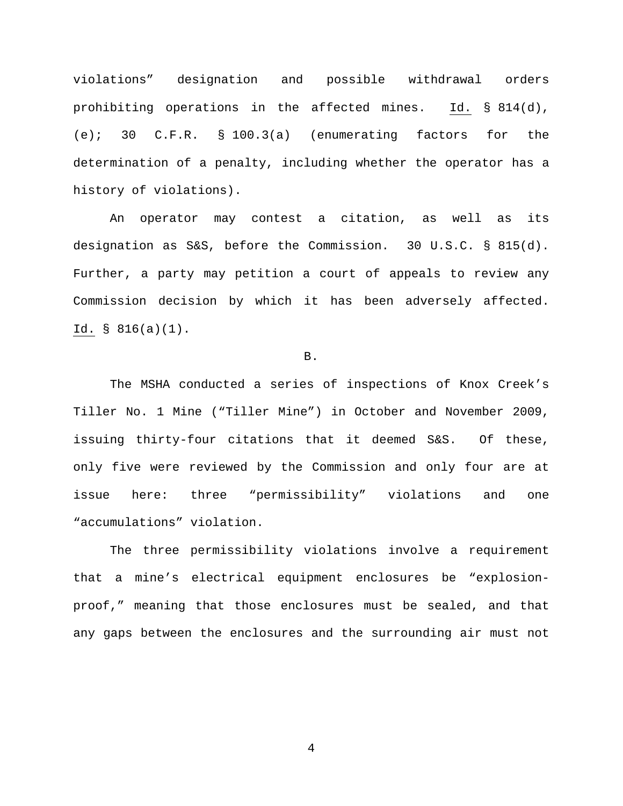violations" designation and possible withdrawal orders prohibiting operations in the affected mines. Id. § 814(d), (e); 30 C.F.R. § 100.3(a) (enumerating factors for the determination of a penalty, including whether the operator has a history of violations).

An operator may contest a citation, as well as its designation as S&S, before the Commission. 30 U.S.C. § 815(d). Further, a party may petition a court of appeals to review any Commission decision by which it has been adversely affected. Id. § 816(a)(1).

B.

The MSHA conducted a series of inspections of Knox Creek's Tiller No. 1 Mine ("Tiller Mine") in October and November 2009, issuing thirty-four citations that it deemed S&S. Of these, only five were reviewed by the Commission and only four are at issue here: three "permissibility" violations and one "accumulations" violation.

The three permissibility violations involve a requirement that a mine's electrical equipment enclosures be "explosionproof," meaning that those enclosures must be sealed, and that any gaps between the enclosures and the surrounding air must not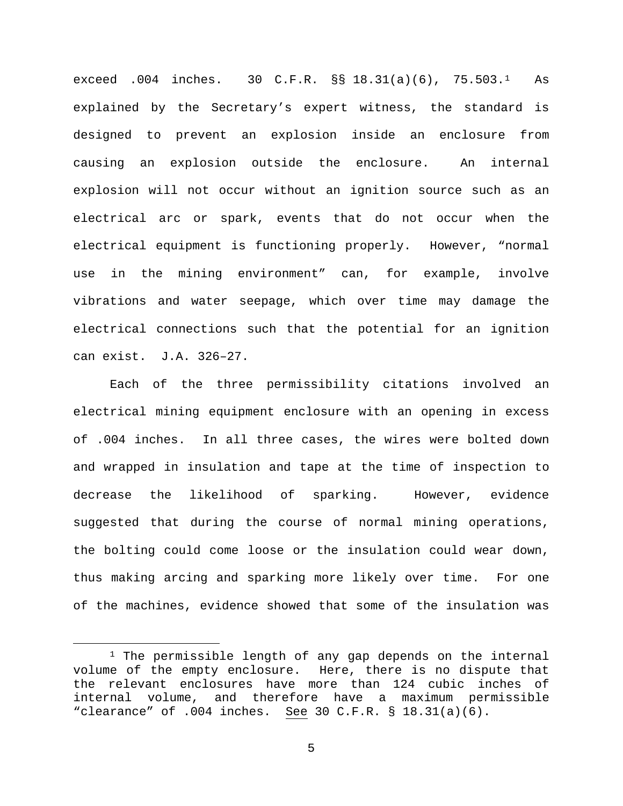exceed .004 inches. 30 C.F.R. §§ 18.31(a)(6), 75.503.[1](#page-4-0) As explained by the Secretary's expert witness, the standard is designed to prevent an explosion inside an enclosure from causing an explosion outside the enclosure. An internal explosion will not occur without an ignition source such as an electrical arc or spark, events that do not occur when the electrical equipment is functioning properly. However, "normal use in the mining environment" can, for example, involve vibrations and water seepage, which over time may damage the electrical connections such that the potential for an ignition can exist. J.A. 326–27.

Each of the three permissibility citations involved an electrical mining equipment enclosure with an opening in excess of .004 inches. In all three cases, the wires were bolted down and wrapped in insulation and tape at the time of inspection to decrease the likelihood of sparking. However, evidence suggested that during the course of normal mining operations, the bolting could come loose or the insulation could wear down, thus making arcing and sparking more likely over time. For one of the machines, evidence showed that some of the insulation was

<span id="page-4-0"></span><sup>&</sup>lt;sup>1</sup> The permissible length of any gap depends on the internal volume of the empty enclosure. Here, there is no dispute that the relevant enclosures have more than 124 cubic inches of<br>internal volume, and therefore have a maximum permissible internal volume, and therefore have a maximum permissible "clearance" of  $.004$  inches. See 30 C.F.R. § 18.31(a)(6).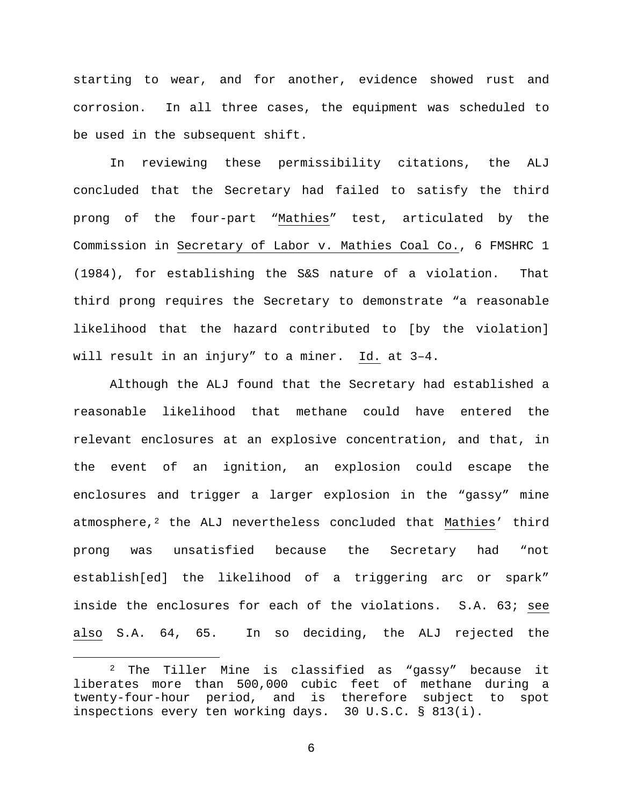starting to wear, and for another, evidence showed rust and corrosion. In all three cases, the equipment was scheduled to be used in the subsequent shift.

In reviewing these permissibility citations, the ALJ concluded that the Secretary had failed to satisfy the third prong of the four-part "Mathies" test, articulated by the Commission in Secretary of Labor v. Mathies Coal Co., 6 FMSHRC 1 (1984), for establishing the S&S nature of a violation. That third prong requires the Secretary to demonstrate "a reasonable likelihood that the hazard contributed to [by the violation] will result in an injury" to a miner. Id. at 3–4.

Although the ALJ found that the Secretary had established a reasonable likelihood that methane could have entered the relevant enclosures at an explosive concentration, and that, in the event of an ignition, an explosion could escape the enclosures and trigger a larger explosion in the "gassy" mine atmosphere,[2](#page-5-0) the ALJ nevertheless concluded that Mathies' third prong was unsatisfied because the Secretary had "not establish[ed] the likelihood of a triggering arc or spark" inside the enclosures for each of the violations. S.A. 63; see also S.A. 64, 65. In so deciding, the ALJ rejected the

<span id="page-5-0"></span> <sup>2</sup> The Tiller Mine is classified as "gassy" because it liberates more than 500,000 cubic feet of methane during a<br>twenty-four-hour period, and is therefore subject to spot and is therefore subject to spot inspections every ten working days. 30 U.S.C. § 813(i).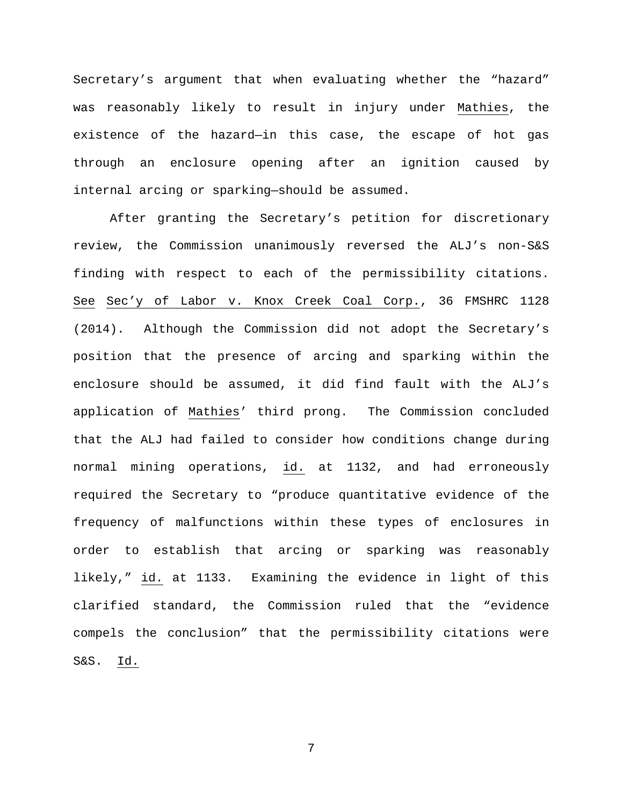Secretary's argument that when evaluating whether the "hazard" was reasonably likely to result in injury under Mathies, the existence of the hazard—in this case, the escape of hot gas through an enclosure opening after an ignition caused by internal arcing or sparking—should be assumed.

After granting the Secretary's petition for discretionary review, the Commission unanimously reversed the ALJ's non-S&S finding with respect to each of the permissibility citations. See Sec'y of Labor v. Knox Creek Coal Corp., 36 FMSHRC 1128 (2014). Although the Commission did not adopt the Secretary's position that the presence of arcing and sparking within the enclosure should be assumed, it did find fault with the ALJ's application of Mathies' third prong. The Commission concluded that the ALJ had failed to consider how conditions change during normal mining operations, id. at 1132, and had erroneously required the Secretary to "produce quantitative evidence of the frequency of malfunctions within these types of enclosures in order to establish that arcing or sparking was reasonably likely," id. at 1133. Examining the evidence in light of this clarified standard, the Commission ruled that the "evidence compels the conclusion" that the permissibility citations were S&S. Id.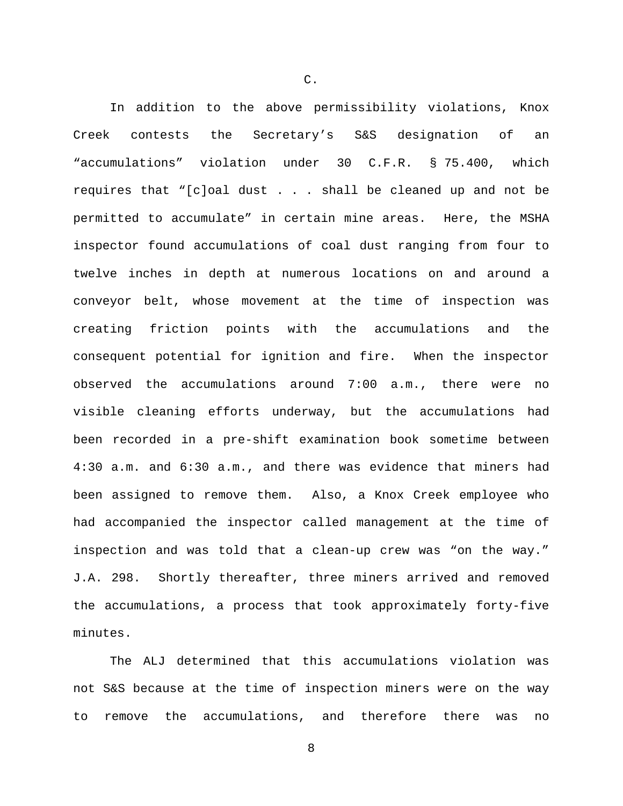In addition to the above permissibility violations, Knox Creek contests the Secretary's S&S designation of an "accumulations" violation under 30 C.F.R. § 75.400, which requires that "[c]oal dust . . . shall be cleaned up and not be permitted to accumulate" in certain mine areas. Here, the MSHA inspector found accumulations of coal dust ranging from four to twelve inches in depth at numerous locations on and around a conveyor belt, whose movement at the time of inspection was creating friction points with the accumulations and the consequent potential for ignition and fire. When the inspector observed the accumulations around 7:00 a.m., there were no visible cleaning efforts underway, but the accumulations had been recorded in a pre-shift examination book sometime between 4:30 a.m. and 6:30 a.m., and there was evidence that miners had been assigned to remove them. Also, a Knox Creek employee who had accompanied the inspector called management at the time of inspection and was told that a clean-up crew was "on the way." J.A. 298. Shortly thereafter, three miners arrived and removed the accumulations, a process that took approximately forty-five minutes.

The ALJ determined that this accumulations violation was not S&S because at the time of inspection miners were on the way to remove the accumulations, and therefore there was no

8

C.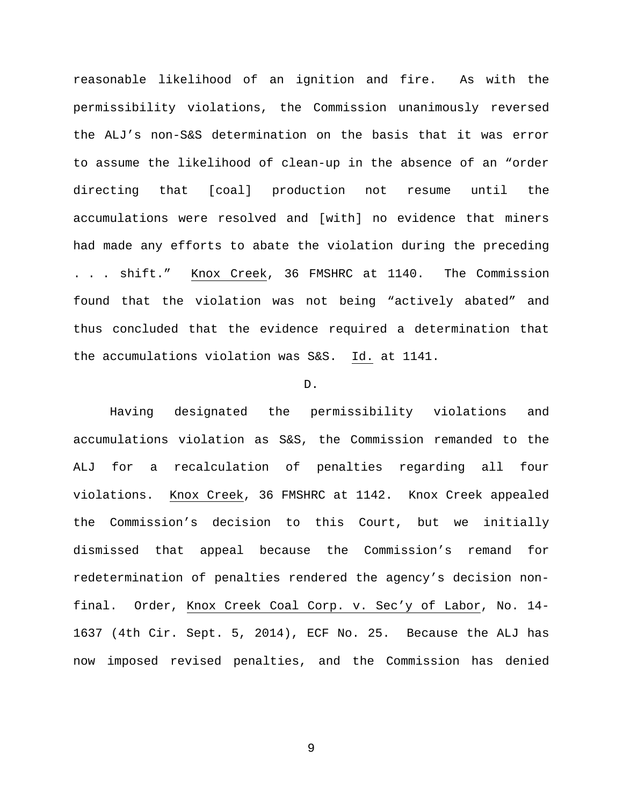reasonable likelihood of an ignition and fire. As with the permissibility violations, the Commission unanimously reversed the ALJ's non-S&S determination on the basis that it was error to assume the likelihood of clean-up in the absence of an "order directing that [coal] production not resume until the accumulations were resolved and [with] no evidence that miners had made any efforts to abate the violation during the preceding . . . shift." Knox Creek, 36 FMSHRC at 1140. The Commission found that the violation was not being "actively abated" and thus concluded that the evidence required a determination that the accumulations violation was S&S. Id. at 1141.

#### D.

Having designated the permissibility violations and accumulations violation as S&S, the Commission remanded to the ALJ for a recalculation of penalties regarding all four violations. Knox Creek, 36 FMSHRC at 1142. Knox Creek appealed the Commission's decision to this Court, but we initially dismissed that appeal because the Commission's remand for redetermination of penalties rendered the agency's decision nonfinal. Order, Knox Creek Coal Corp. v. Sec'y of Labor, No. 14- 1637 (4th Cir. Sept. 5, 2014), ECF No. 25. Because the ALJ has now imposed revised penalties, and the Commission has denied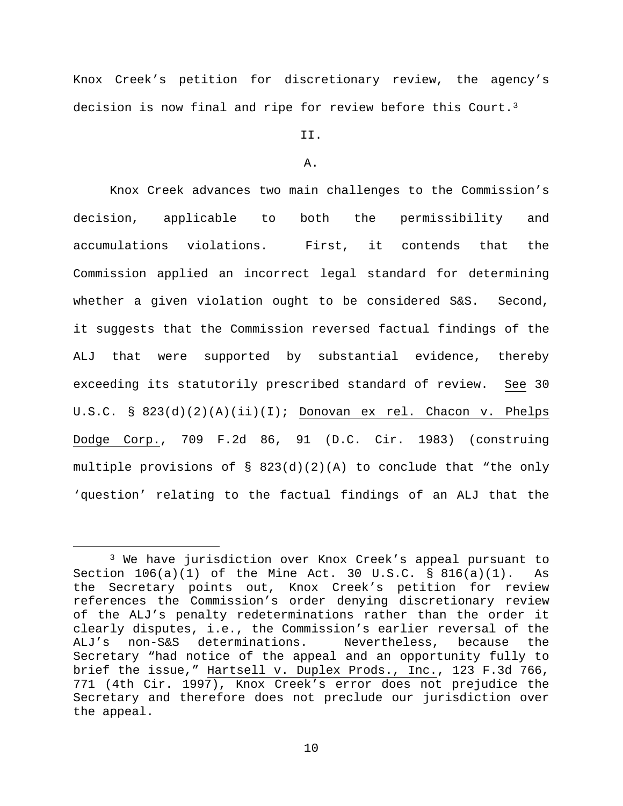Knox Creek's petition for discretionary review, the agency's decision is now final and ripe for review before this Court.<sup>3</sup>

# II.

#### A.

Knox Creek advances two main challenges to the Commission's decision, applicable to both the permissibility and accumulations violations. First, it contends that the Commission applied an incorrect legal standard for determining whether a given violation ought to be considered S&S. Second, it suggests that the Commission reversed factual findings of the ALJ that were supported by substantial evidence, thereby exceeding its statutorily prescribed standard of review. See 30 U.S.C. § 823(d)(2)(A)(ii)(I); Donovan ex rel. Chacon v. Phelps Dodge Corp., 709 F.2d 86, 91 (D.C. Cir. 1983) (construing multiple provisions of  $\S$  823(d)(2)(A) to conclude that "the only 'question' relating to the factual findings of an ALJ that the

<span id="page-9-0"></span> <sup>3</sup> We have jurisdiction over Knox Creek's appeal pursuant to Section  $106(a)(1)$  of the Mine Act. 30 U.S.C. § 816(a)(1). As the Secretary points out, Knox Creek's petition for review references the Commission's order denying discretionary review of the ALJ's penalty redeterminations rather than the order it clearly disputes, i.e., the Commission's earlier reversal of the ALJ's non-S&S determinations. Nevertheless, because the Secretary "had notice of the appeal and an opportunity fully to brief the issue," Hartsell v. Duplex Prods., Inc., 123 F.3d 766, 771 (4th Cir. 1997), Knox Creek's error does not prejudice the Secretary and therefore does not preclude our jurisdiction over the appeal.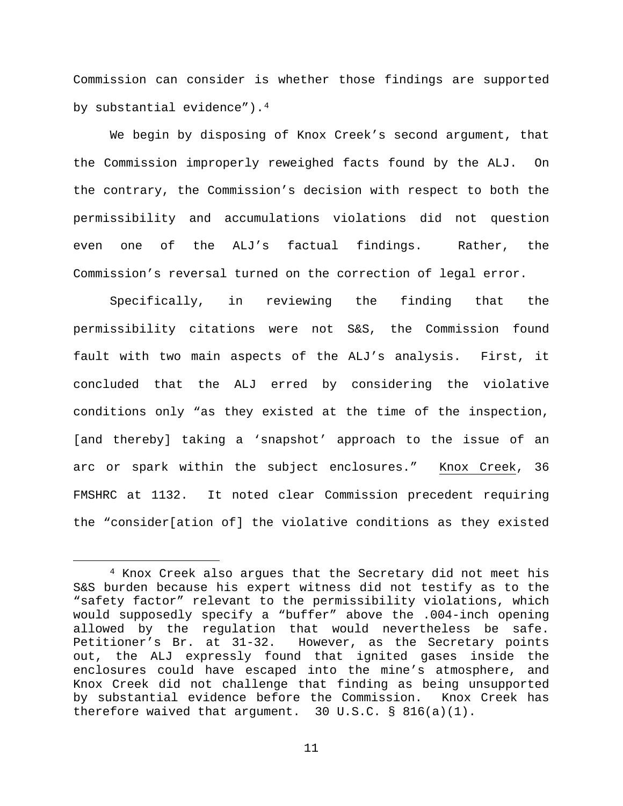Commission can consider is whether those findings are supported by substantial evidence").[4](#page-10-0)

We begin by disposing of Knox Creek's second argument, that the Commission improperly reweighed facts found by the ALJ. On the contrary, the Commission's decision with respect to both the permissibility and accumulations violations did not question even one of the ALJ's factual findings. Rather, the Commission's reversal turned on the correction of legal error.

Specifically, in reviewing the finding that the permissibility citations were not S&S, the Commission found fault with two main aspects of the ALJ's analysis. First, it concluded that the ALJ erred by considering the violative conditions only "as they existed at the time of the inspection, [and thereby] taking a 'snapshot' approach to the issue of an arc or spark within the subject enclosures." Knox Creek, 36 FMSHRC at 1132. It noted clear Commission precedent requiring the "consider[ation of] the violative conditions as they existed

<span id="page-10-0"></span> <sup>4</sup> Knox Creek also argues that the Secretary did not meet his S&S burden because his expert witness did not testify as to the "safety factor" relevant to the permissibility violations, which would supposedly specify a "buffer" above the .004-inch opening allowed by the regulation that would nevertheless be safe.<br>Petitioner's Br. at 31-32. However, as the Secretary points However, as the Secretary points out, the ALJ expressly found that ignited gases inside the enclosures could have escaped into the mine's atmosphere, and Knox Creek did not challenge that finding as being unsupported by substantial evidence before the Commission. Knox Creek has therefore waived that argument. 30 U.S.C.  $\S$  816(a)(1).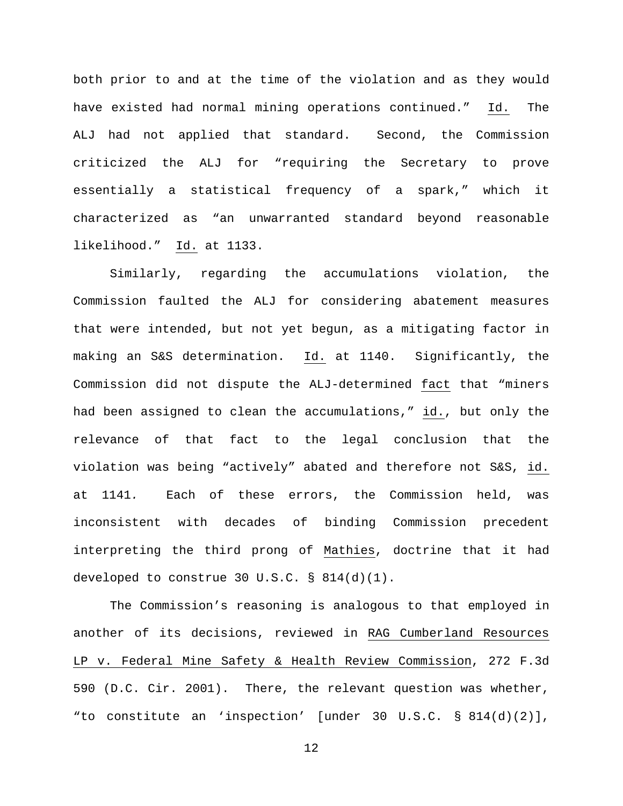both prior to and at the time of the violation and as they would have existed had normal mining operations continued." Id. The ALJ had not applied that standard. Second, the Commission criticized the ALJ for "requiring the Secretary to prove essentially a statistical frequency of a spark," which it characterized as "an unwarranted standard beyond reasonable likelihood." Id. at 1133.

Similarly, regarding the accumulations violation, the Commission faulted the ALJ for considering abatement measures that were intended, but not yet begun, as a mitigating factor in making an S&S determination. Id. at 1140. Significantly, the Commission did not dispute the ALJ-determined fact that "miners had been assigned to clean the accumulations," id., but only the relevance of that fact to the legal conclusion that the violation was being "actively" abated and therefore not S&S, id. at 1141*.* Each of these errors, the Commission held, was inconsistent with decades of binding Commission precedent interpreting the third prong of Mathies, doctrine that it had developed to construe 30 U.S.C. § 814(d)(1).

The Commission's reasoning is analogous to that employed in another of its decisions, reviewed in RAG Cumberland Resources LP v. Federal Mine Safety & Health Review Commission, 272 F.3d 590 (D.C. Cir. 2001). There, the relevant question was whether, "to constitute an 'inspection' [under 30 U.S.C. § 814(d)(2)],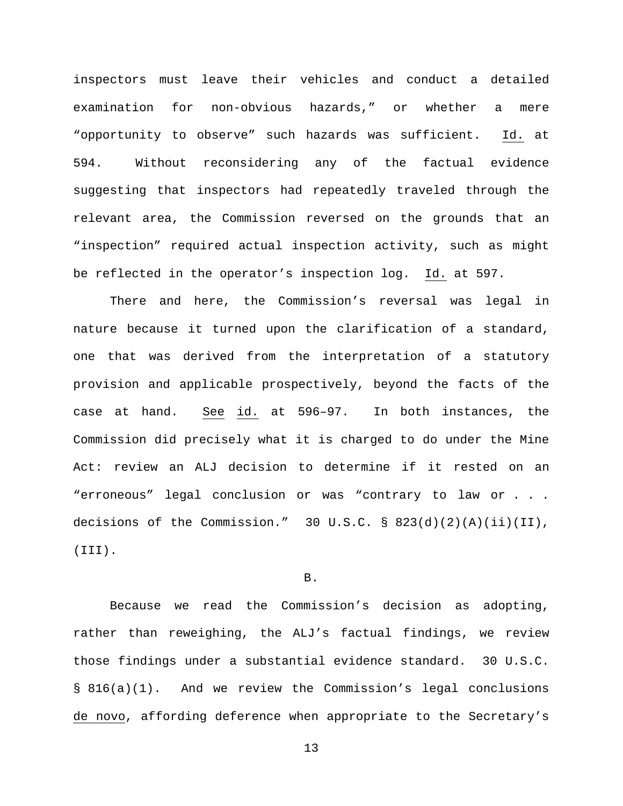inspectors must leave their vehicles and conduct a detailed examination for non-obvious hazards," or whether a mere "opportunity to observe" such hazards was sufficient. Id. at 594. Without reconsidering any of the factual evidence suggesting that inspectors had repeatedly traveled through the relevant area, the Commission reversed on the grounds that an "inspection" required actual inspection activity, such as might be reflected in the operator's inspection log. Id. at 597.

There and here, the Commission's reversal was legal in nature because it turned upon the clarification of a standard, one that was derived from the interpretation of a statutory provision and applicable prospectively, beyond the facts of the case at hand. See id. at 596–97. In both instances, the Commission did precisely what it is charged to do under the Mine Act: review an ALJ decision to determine if it rested on an "erroneous" legal conclusion or was "contrary to law or . . . decisions of the Commission." 30 U.S.C. § 823(d)(2)(A)(ii)(II), (III).

#### B.

Because we read the Commission's decision as adopting, rather than reweighing, the ALJ's factual findings, we review those findings under a substantial evidence standard. 30 U.S.C. § 816(a)(1). And we review the Commission's legal conclusions de novo, affording deference when appropriate to the Secretary's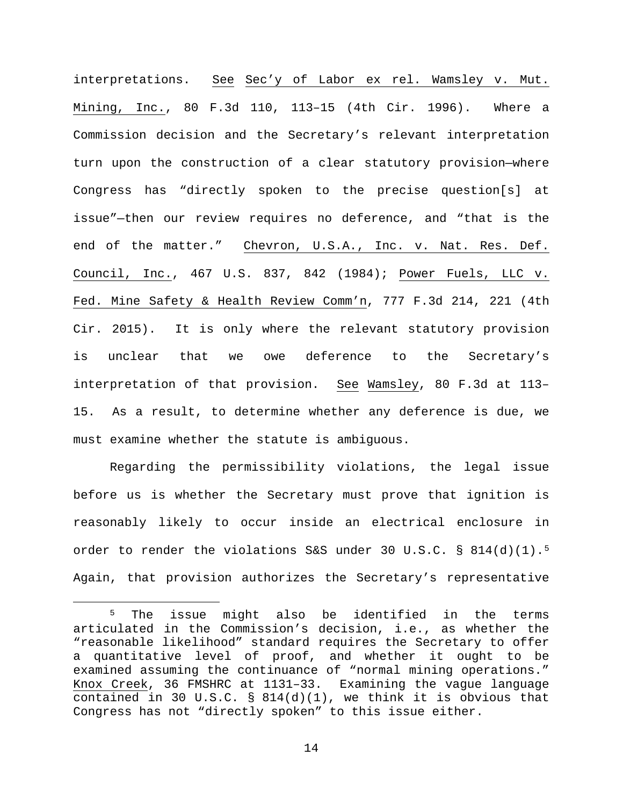interpretations. See Sec'y of Labor ex rel. Wamsley v. Mut. Mining, Inc., 80 F.3d 110, 113–15 (4th Cir. 1996). Where a Commission decision and the Secretary's relevant interpretation turn upon the construction of a clear statutory provision—where Congress has "directly spoken to the precise question[s] at issue"—then our review requires no deference, and "that is the end of the matter." Chevron, U.S.A., Inc. v. Nat. Res. Def. Council, Inc., 467 U.S. 837, 842 (1984); Power Fuels, LLC v. Fed. Mine Safety & Health Review Comm'n, 777 F.3d 214, 221 (4th Cir. 2015). It is only where the relevant statutory provision is unclear that we owe deference to the Secretary's interpretation of that provision. See Wamsley, 80 F.3d at 113– 15. As a result, to determine whether any deference is due, we must examine whether the statute is ambiguous.

Regarding the permissibility violations, the legal issue before us is whether the Secretary must prove that ignition is reasonably likely to occur inside an electrical enclosure in order to render the violations S&S under 30 U.S.C. §  $814(d)(1).$ <sup>[5](#page-13-0)</sup> Again, that provision authorizes the Secretary's representative

<span id="page-13-0"></span><sup>&</sup>lt;sup>5</sup> The issue might also be identified in the terms articulated in the Commission's decision, i.e., as whether the "reasonable likelihood" standard requires the Secretary to offer a quantitative level of proof, and whether it ought to be examined assuming the continuance of "normal mining operations." Knox Creek, 36 FMSHRC at 1131–33. Examining the vague language contained in 30 U.S.C.  $\S$  814(d)(1), we think it is obvious that Congress has not "directly spoken" to this issue either.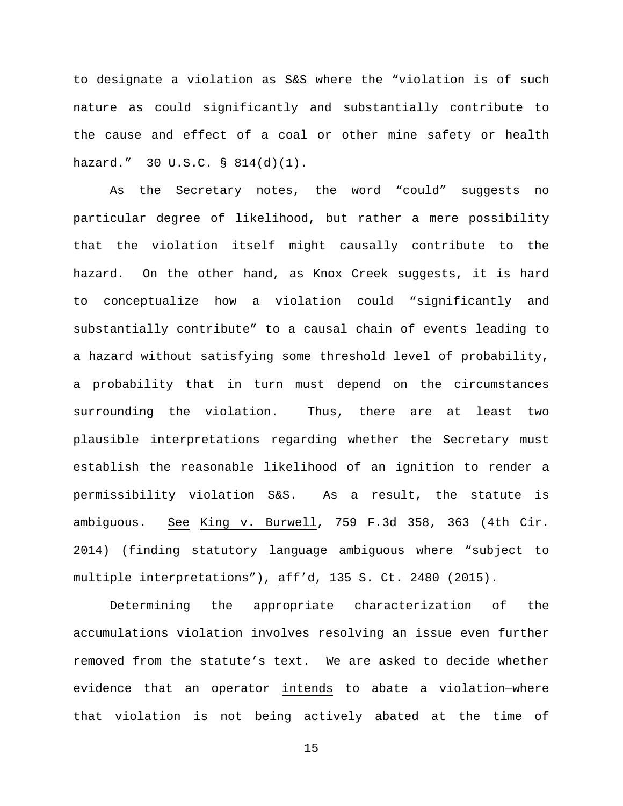to designate a violation as S&S where the "violation is of such nature as could significantly and substantially contribute to the cause and effect of a coal or other mine safety or health hazard." 30 U.S.C. § 814(d)(1).

As the Secretary notes, the word "could" suggests no particular degree of likelihood, but rather a mere possibility that the violation itself might causally contribute to the hazard. On the other hand, as Knox Creek suggests, it is hard to conceptualize how a violation could "significantly and substantially contribute" to a causal chain of events leading to a hazard without satisfying some threshold level of probability, a probability that in turn must depend on the circumstances surrounding the violation. Thus, there are at least two plausible interpretations regarding whether the Secretary must establish the reasonable likelihood of an ignition to render a permissibility violation S&S. As a result, the statute is ambiguous. See King v. Burwell, 759 F.3d 358, 363 (4th Cir. 2014) (finding statutory language ambiguous where "subject to multiple interpretations"), aff'd, 135 S. Ct. 2480 (2015).

Determining the appropriate characterization of the accumulations violation involves resolving an issue even further removed from the statute's text. We are asked to decide whether evidence that an operator intends to abate a violation—where that violation is not being actively abated at the time of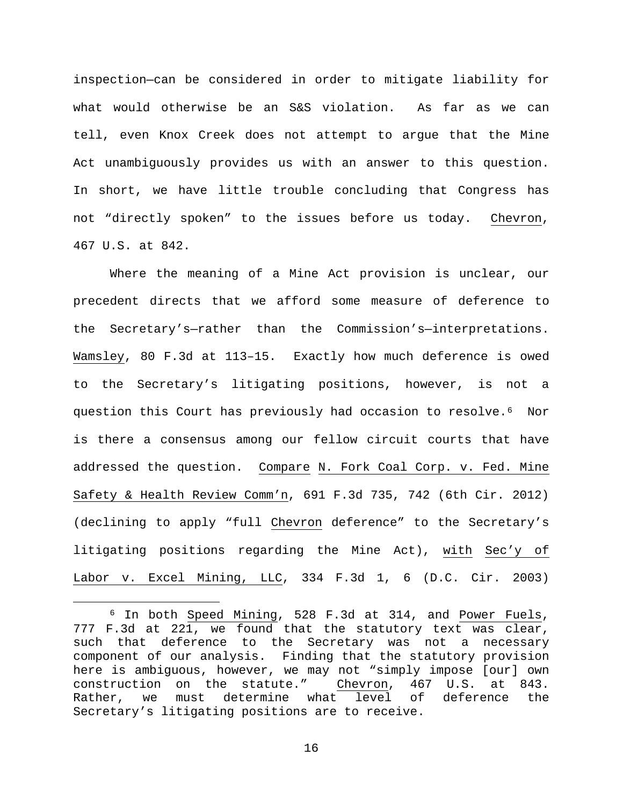inspection—can be considered in order to mitigate liability for what would otherwise be an S&S violation. As far as we can tell, even Knox Creek does not attempt to argue that the Mine Act unambiguously provides us with an answer to this question. In short, we have little trouble concluding that Congress has not "directly spoken" to the issues before us today. Chevron, 467 U.S. at 842.

Where the meaning of a Mine Act provision is unclear, our precedent directs that we afford some measure of deference to the Secretary's—rather than the Commission's—interpretations. Wamsley, 80 F.3d at 113–15. Exactly how much deference is owed to the Secretary's litigating positions, however, is not a question this Court has previously had occasion to resolve.[6](#page-15-0) Nor is there a consensus among our fellow circuit courts that have addressed the question. Compare N. Fork Coal Corp. v. Fed. Mine Safety & Health Review Comm'n, 691 F.3d 735, 742 (6th Cir. 2012) (declining to apply "full Chevron deference" to the Secretary's litigating positions regarding the Mine Act), with Sec'y of Labor v. Excel Mining, LLC, 334 F.3d 1, 6 (D.C. Cir. 2003)

<span id="page-15-0"></span> <sup>6</sup> In both Speed Mining, 528 F.3d at 314, and Power Fuels, 777 F.3d at 221, we found that the statutory text was clear, such that deference to the Secretary was not a necessary component of our analysis. Finding that the statutory provision here is ambiguous, however, we may not "simply impose [our] own<br>construction on the statute." Chevron, 467 U.S. at 843. construction on the statute." Chevron, 467 U.S. at 843.<br>Rather, we must determine what level of deference the Rather, we must determine what level of deference the Secretary's litigating positions are to receive.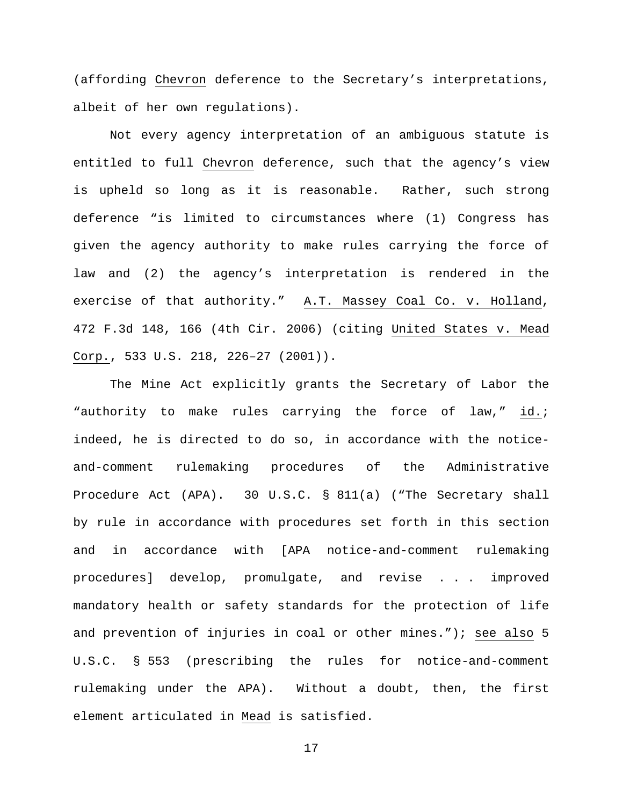(affording Chevron deference to the Secretary's interpretations, albeit of her own regulations).

Not every agency interpretation of an ambiguous statute is entitled to full Chevron deference, such that the agency's view is upheld so long as it is reasonable. Rather, such strong deference "is limited to circumstances where (1) Congress has given the agency authority to make rules carrying the force of law and (2) the agency's interpretation is rendered in the exercise of that authority." A.T. Massey Coal Co. v. Holland, 472 F.3d 148, 166 (4th Cir. 2006) (citing United States v. Mead Corp., 533 U.S. 218, 226–27 (2001)).

The Mine Act explicitly grants the Secretary of Labor the "authority to make rules carrying the force of law," id.; indeed, he is directed to do so, in accordance with the noticeand-comment rulemaking procedures of the Administrative Procedure Act (APA). 30 U.S.C. § 811(a) ("The Secretary shall by rule in accordance with procedures set forth in this section and in accordance with [APA notice-and-comment rulemaking procedures] develop, promulgate, and revise . . . improved mandatory health or safety standards for the protection of life and prevention of injuries in coal or other mines."); see also 5 U.S.C. § 553 (prescribing the rules for notice-and-comment rulemaking under the APA). Without a doubt, then, the first element articulated in Mead is satisfied.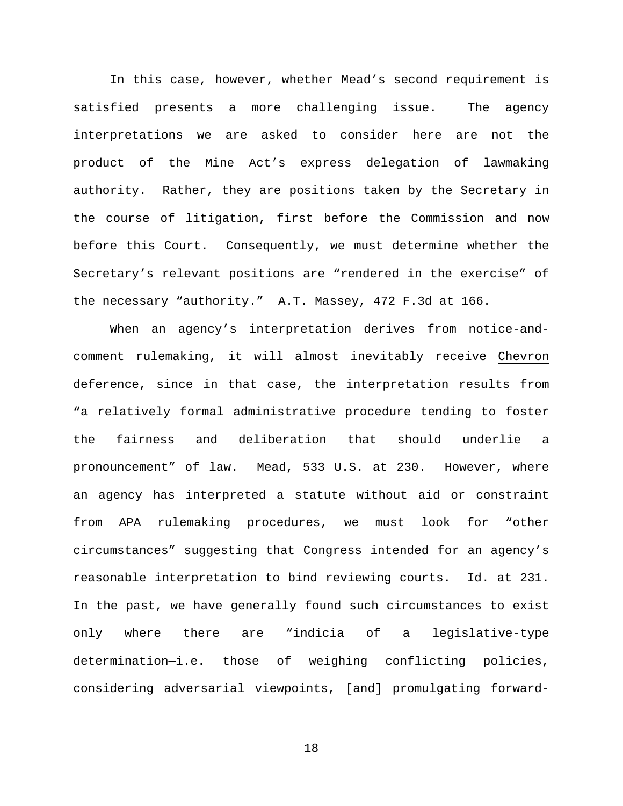In this case, however, whether Mead's second requirement is satisfied presents a more challenging issue. The agency interpretations we are asked to consider here are not the product of the Mine Act's express delegation of lawmaking authority. Rather, they are positions taken by the Secretary in the course of litigation, first before the Commission and now before this Court. Consequently, we must determine whether the Secretary's relevant positions are "rendered in the exercise" of the necessary "authority." A.T. Massey, 472 F.3d at 166.

When an agency's interpretation derives from notice-andcomment rulemaking, it will almost inevitably receive Chevron deference, since in that case, the interpretation results from "a relatively formal administrative procedure tending to foster the fairness and deliberation that should underlie a pronouncement" of law. Mead, 533 U.S. at 230. However, where an agency has interpreted a statute without aid or constraint from APA rulemaking procedures, we must look for "other circumstances" suggesting that Congress intended for an agency's reasonable interpretation to bind reviewing courts. Id. at 231. In the past, we have generally found such circumstances to exist only where there are "indicia of a legislative-type determination—i.e. those of weighing conflicting policies, considering adversarial viewpoints, [and] promulgating forward-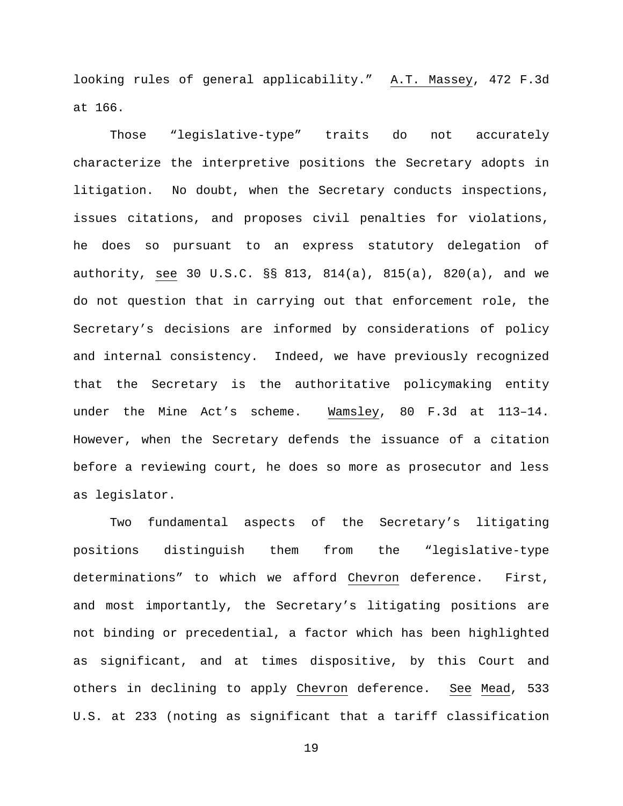looking rules of general applicability." A.T. Massey, 472 F.3d at 166.

Those "legislative-type" traits do not accurately characterize the interpretive positions the Secretary adopts in litigation. No doubt, when the Secretary conducts inspections, issues citations, and proposes civil penalties for violations, he does so pursuant to an express statutory delegation of authority, see 30 U.S.C. §§ 813, 814(a), 815(a), 820(a), and we do not question that in carrying out that enforcement role, the Secretary's decisions are informed by considerations of policy and internal consistency. Indeed, we have previously recognized that the Secretary is the authoritative policymaking entity under the Mine Act's scheme. Wamsley, 80 F.3d at 113–14. However, when the Secretary defends the issuance of a citation before a reviewing court, he does so more as prosecutor and less as legislator.

Two fundamental aspects of the Secretary's litigating positions distinguish them from the "legislative-type determinations" to which we afford Chevron deference. First, and most importantly, the Secretary's litigating positions are not binding or precedential, a factor which has been highlighted as significant, and at times dispositive, by this Court and others in declining to apply Chevron deference. See Mead, 533 U.S. at 233 (noting as significant that a tariff classification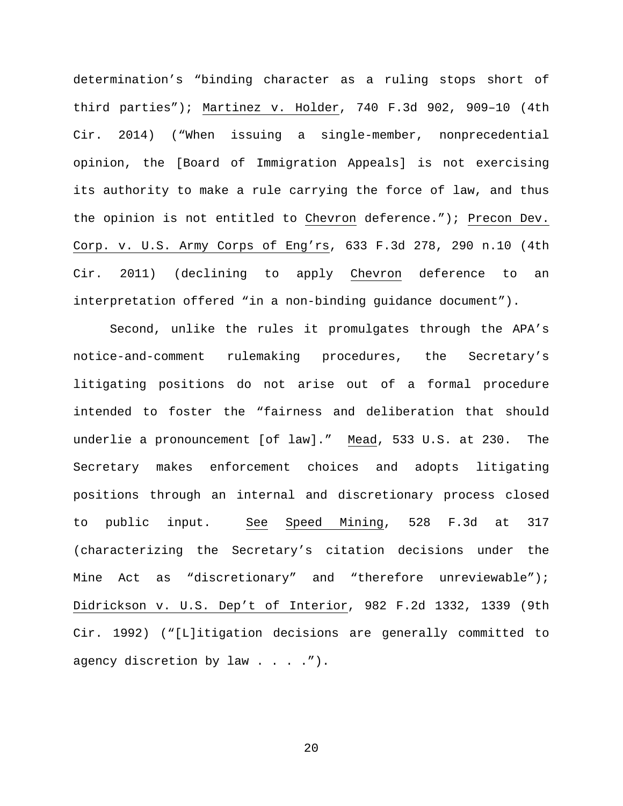determination's "binding character as a ruling stops short of third parties"); Martinez v. Holder, 740 F.3d 902, 909–10 (4th Cir. 2014) ("When issuing a single-member, nonprecedential opinion, the [Board of Immigration Appeals] is not exercising its authority to make a rule carrying the force of law, and thus the opinion is not entitled to Chevron deference."); Precon Dev. Corp. v. U.S. Army Corps of Eng'rs, 633 F.3d 278, 290 n.10 (4th Cir. 2011) (declining to apply Chevron deference to an interpretation offered "in a non-binding guidance document").

Second, unlike the rules it promulgates through the APA's notice-and-comment rulemaking procedures, the Secretary's litigating positions do not arise out of a formal procedure intended to foster the "fairness and deliberation that should underlie a pronouncement [of law]." Mead, 533 U.S. at 230. The Secretary makes enforcement choices and adopts litigating positions through an internal and discretionary process closed to public input. See Speed Mining, 528 F.3d at 317 (characterizing the Secretary's citation decisions under the Mine Act as "discretionary" and "therefore unreviewable"); Didrickson v. U.S. Dep't of Interior, 982 F.2d 1332, 1339 (9th Cir. 1992) ("[L]itigation decisions are generally committed to agency discretion by law  $\ldots$ . ...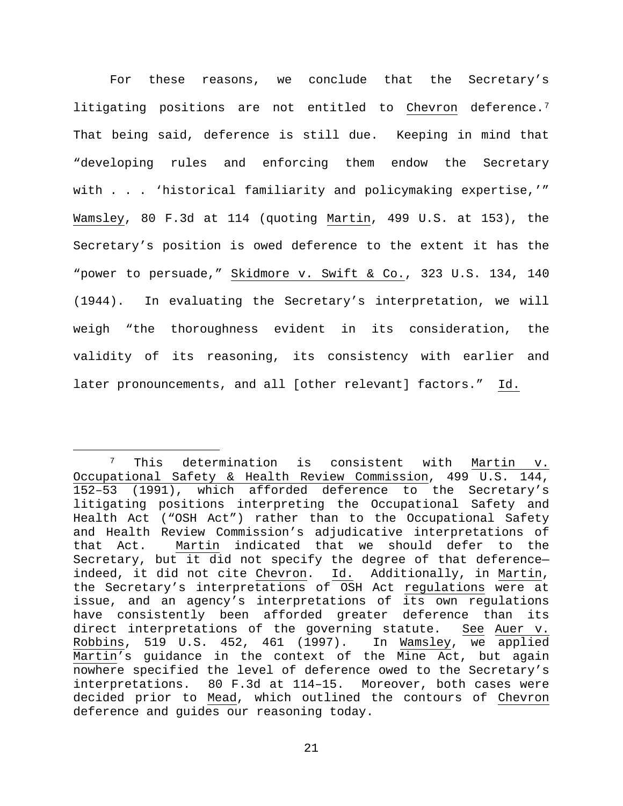For these reasons, we conclude that the Secretary's litigating positions are not entitled to Chevron deference.<sup>[7](#page-20-0)</sup> That being said, deference is still due. Keeping in mind that "developing rules and enforcing them endow the Secretary with . . . 'historical familiarity and policymaking expertise,'" Wamsley, 80 F.3d at 114 (quoting Martin, 499 U.S. at 153), the Secretary's position is owed deference to the extent it has the "power to persuade," Skidmore v. Swift & Co., 323 U.S. 134, 140 (1944). In evaluating the Secretary's interpretation, we will weigh "the thoroughness evident in its consideration, the validity of its reasoning, its consistency with earlier and later pronouncements, and all [other relevant] factors." Id.

<span id="page-20-0"></span> <sup>7</sup> This determination is consistent with Martin v. Occupational Safety & Health Review Commission, 499 U.S. 144, 152–53 (1991), which afforded deference to the Secretary's litigating positions interpreting the Occupational Safety and Health Act ("OSH Act") rather than to the Occupational Safety and Health Review Commission's adjudicative interpretations of that Act. Martin indicated that we should defer to the Secretary, but it did not specify the degree of that deference indeed, it did not cite Chevron. Id. Additionally, in Martin, the Secretary's interpretations of OSH Act regulations were at issue, and an agency's interpretations of its own regulations have consistently been afforded greater deference than its direct interpretations of the governing statute. See Auer v. Robbins, 519 U.S. 452, 461 (1997). In Wamsley, we applied Martin's guidance in the context of the Mine Act, but again nowhere specified the level of deference owed to the Secretary's interpretations. 80 F.3d at 114–15. Moreover, both cases were decided prior to Mead, which outlined the contours of Chevron deference and guides our reasoning today.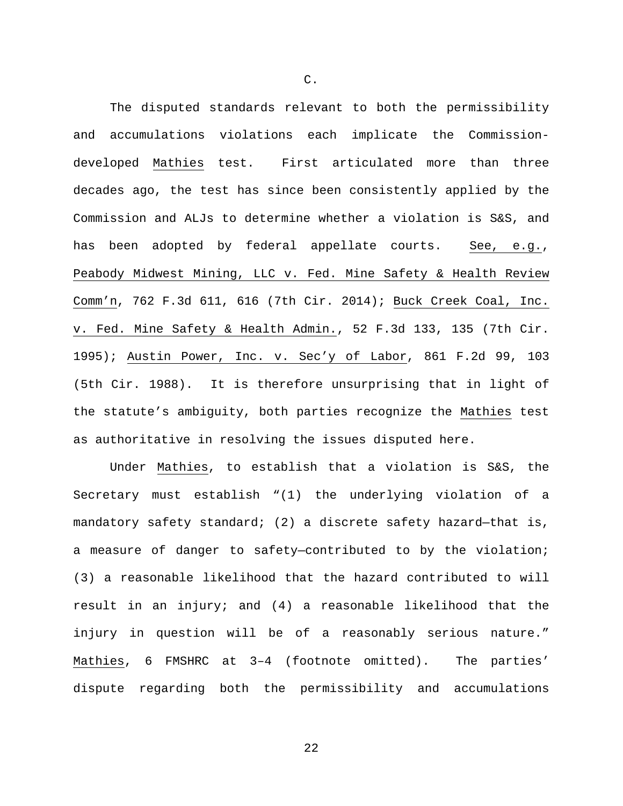The disputed standards relevant to both the permissibility and accumulations violations each implicate the Commissiondeveloped Mathies test. First articulated more than three decades ago, the test has since been consistently applied by the Commission and ALJs to determine whether a violation is S&S, and has been adopted by federal appellate courts. See, e.g., Peabody Midwest Mining, LLC v. Fed. Mine Safety & Health Review Comm'n, 762 F.3d 611, 616 (7th Cir. 2014); Buck Creek Coal, Inc. v. Fed. Mine Safety & Health Admin., 52 F.3d 133, 135 (7th Cir. 1995); Austin Power, Inc. v. Sec'y of Labor, 861 F.2d 99, 103 (5th Cir. 1988). It is therefore unsurprising that in light of the statute's ambiguity, both parties recognize the Mathies test as authoritative in resolving the issues disputed here.

Under Mathies, to establish that a violation is S&S, the Secretary must establish "(1) the underlying violation of a mandatory safety standard; (2) a discrete safety hazard—that is, a measure of danger to safety—contributed to by the violation; (3) a reasonable likelihood that the hazard contributed to will result in an injury; and (4) a reasonable likelihood that the injury in question will be of a reasonably serious nature." Mathies, 6 FMSHRC at 3–4 (footnote omitted). The parties' dispute regarding both the permissibility and accumulations

C.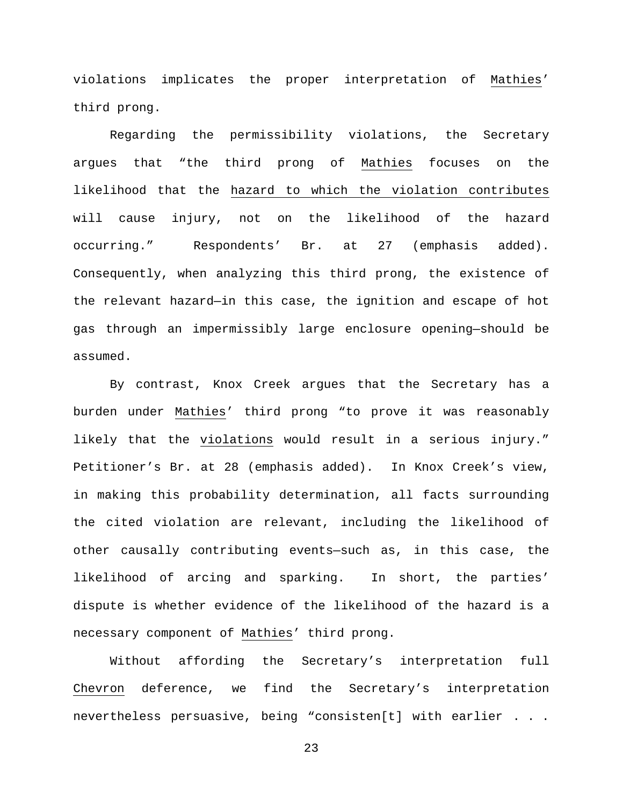violations implicates the proper interpretation of Mathies' third prong.

Regarding the permissibility violations, the Secretary argues that "the third prong of Mathies focuses on the likelihood that the hazard to which the violation contributes will cause injury, not on the likelihood of the hazard occurring." Respondents' Br. at 27 (emphasis added). Consequently, when analyzing this third prong, the existence of the relevant hazard—in this case, the ignition and escape of hot gas through an impermissibly large enclosure opening—should be assumed.

By contrast, Knox Creek argues that the Secretary has a burden under Mathies' third prong "to prove it was reasonably likely that the violations would result in a serious injury." Petitioner's Br. at 28 (emphasis added). In Knox Creek's view, in making this probability determination, all facts surrounding the cited violation are relevant, including the likelihood of other causally contributing events—such as, in this case, the likelihood of arcing and sparking. In short, the parties' dispute is whether evidence of the likelihood of the hazard is a necessary component of Mathies' third prong.

Without affording the Secretary's interpretation full Chevron deference, we find the Secretary's interpretation nevertheless persuasive, being "consisten[t] with earlier . . .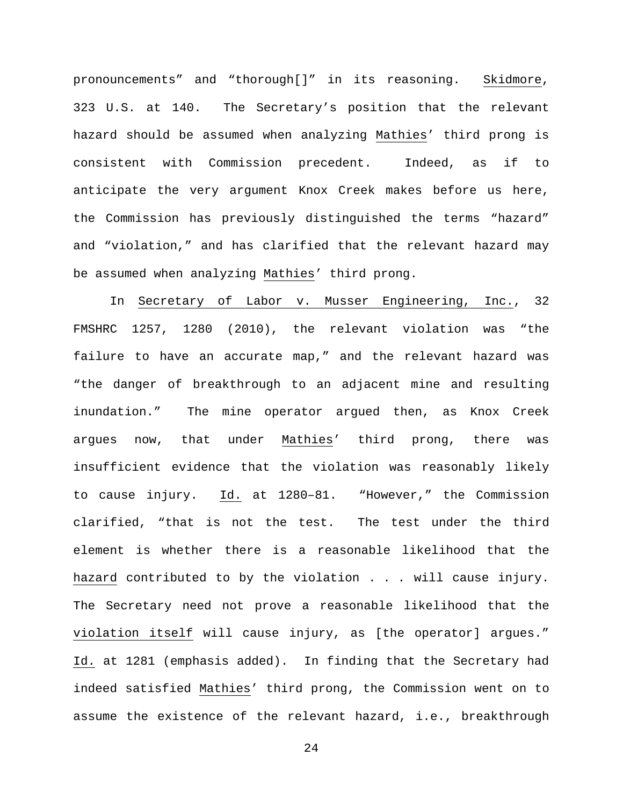pronouncements" and "thorough[]" in its reasoning. Skidmore, 323 U.S. at 140. The Secretary's position that the relevant hazard should be assumed when analyzing Mathies' third prong is consistent with Commission precedent. Indeed, as if to anticipate the very argument Knox Creek makes before us here, the Commission has previously distinguished the terms "hazard" and "violation," and has clarified that the relevant hazard may be assumed when analyzing Mathies' third prong.

In Secretary of Labor v. Musser Engineering, Inc., 32 FMSHRC 1257, 1280 (2010), the relevant violation was "the failure to have an accurate map," and the relevant hazard was "the danger of breakthrough to an adjacent mine and resulting inundation." The mine operator argued then, as Knox Creek argues now, that under Mathies' third prong, there was insufficient evidence that the violation was reasonably likely to cause injury. Id. at 1280–81. "However," the Commission clarified, "that is not the test. The test under the third element is whether there is a reasonable likelihood that the hazard contributed to by the violation . . . will cause injury. The Secretary need not prove a reasonable likelihood that the violation itself will cause injury, as [the operator] argues." Id. at 1281 (emphasis added). In finding that the Secretary had indeed satisfied Mathies' third prong, the Commission went on to assume the existence of the relevant hazard, i.e., breakthrough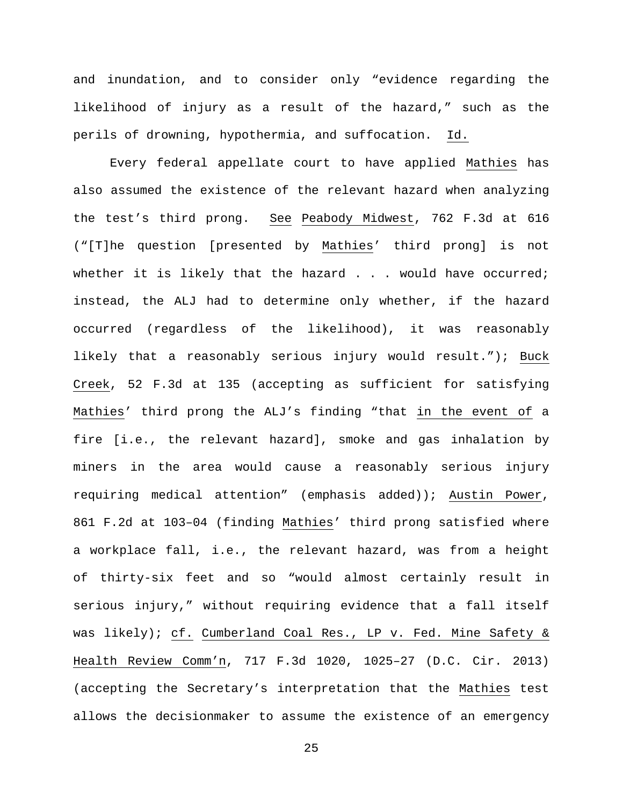and inundation, and to consider only "evidence regarding the likelihood of injury as a result of the hazard," such as the perils of drowning, hypothermia, and suffocation. Id.

Every federal appellate court to have applied Mathies has also assumed the existence of the relevant hazard when analyzing the test's third prong. See Peabody Midwest, 762 F.3d at 616 ("[T]he question [presented by Mathies' third prong] is not whether it is likely that the hazard . . . would have occurred; instead, the ALJ had to determine only whether, if the hazard occurred (regardless of the likelihood), it was reasonably likely that a reasonably serious injury would result."); Buck Creek, 52 F.3d at 135 (accepting as sufficient for satisfying Mathies' third prong the ALJ's finding "that in the event of a fire [i.e., the relevant hazard], smoke and gas inhalation by miners in the area would cause a reasonably serious injury requiring medical attention" (emphasis added)); Austin Power, 861 F.2d at 103–04 (finding Mathies' third prong satisfied where a workplace fall, i.e., the relevant hazard, was from a height of thirty-six feet and so "would almost certainly result in serious injury," without requiring evidence that a fall itself was likely); cf. Cumberland Coal Res., LP v. Fed. Mine Safety & Health Review Comm'n, 717 F.3d 1020, 1025–27 (D.C. Cir. 2013) (accepting the Secretary's interpretation that the Mathies test allows the decisionmaker to assume the existence of an emergency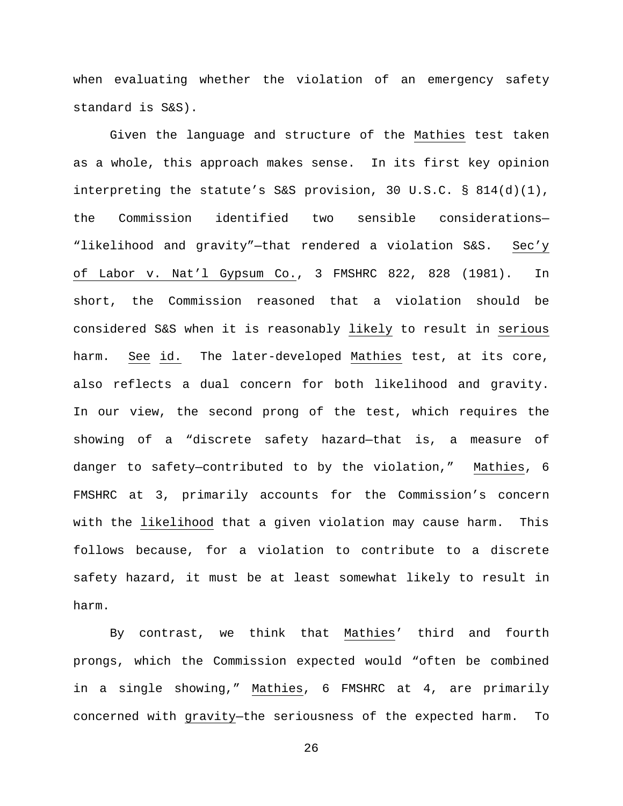when evaluating whether the violation of an emergency safety standard is S&S).

Given the language and structure of the Mathies test taken as a whole, this approach makes sense. In its first key opinion interpreting the statute's S&S provision, 30 U.S.C. § 814(d)(1), the Commission identified two sensible considerations— "likelihood and gravity"—that rendered a violation S&S. Sec'y of Labor v. Nat'l Gypsum Co., 3 FMSHRC 822, 828 (1981). In short, the Commission reasoned that a violation should be considered S&S when it is reasonably likely to result in serious harm. See id. The later-developed Mathies test, at its core, also reflects a dual concern for both likelihood and gravity. In our view, the second prong of the test, which requires the showing of a "discrete safety hazard—that is, a measure of danger to safety—contributed to by the violation," Mathies, 6 FMSHRC at 3, primarily accounts for the Commission's concern with the likelihood that a given violation may cause harm. This follows because, for a violation to contribute to a discrete safety hazard, it must be at least somewhat likely to result in harm.

By contrast, we think that Mathies' third and fourth prongs, which the Commission expected would "often be combined in a single showing," Mathies, 6 FMSHRC at 4, are primarily concerned with gravity—the seriousness of the expected harm. To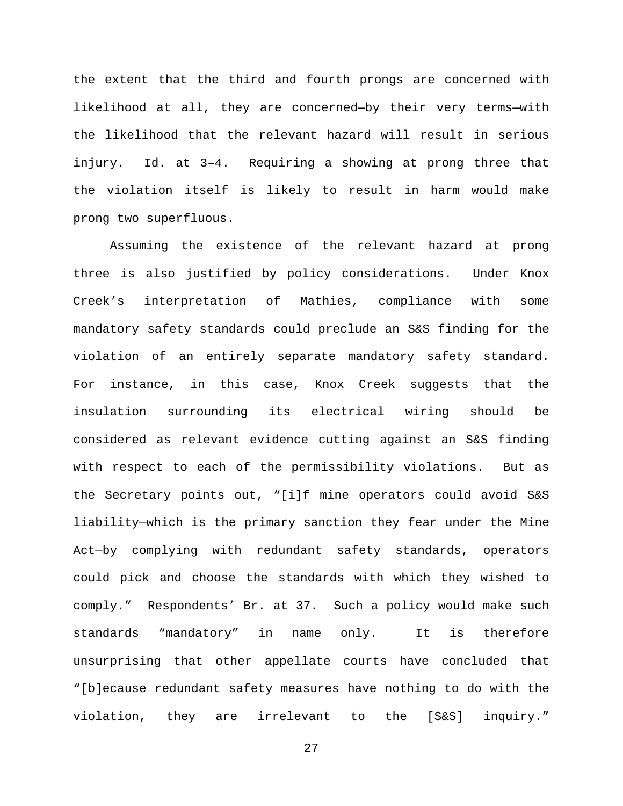the extent that the third and fourth prongs are concerned with likelihood at all, they are concerned—by their very terms—with the likelihood that the relevant hazard will result in serious injury. Id. at 3–4. Requiring a showing at prong three that the violation itself is likely to result in harm would make prong two superfluous.

Assuming the existence of the relevant hazard at prong three is also justified by policy considerations. Under Knox Creek's interpretation of Mathies, compliance with some mandatory safety standards could preclude an S&S finding for the violation of an entirely separate mandatory safety standard. For instance, in this case, Knox Creek suggests that the insulation surrounding its electrical wiring should be considered as relevant evidence cutting against an S&S finding with respect to each of the permissibility violations. But as the Secretary points out, "[i]f mine operators could avoid S&S liability—which is the primary sanction they fear under the Mine Act—by complying with redundant safety standards, operators could pick and choose the standards with which they wished to comply." Respondents' Br. at 37. Such a policy would make such standards "mandatory" in name only. It is therefore unsurprising that other appellate courts have concluded that "[b]ecause redundant safety measures have nothing to do with the violation, they are irrelevant to the [S&S] inquiry."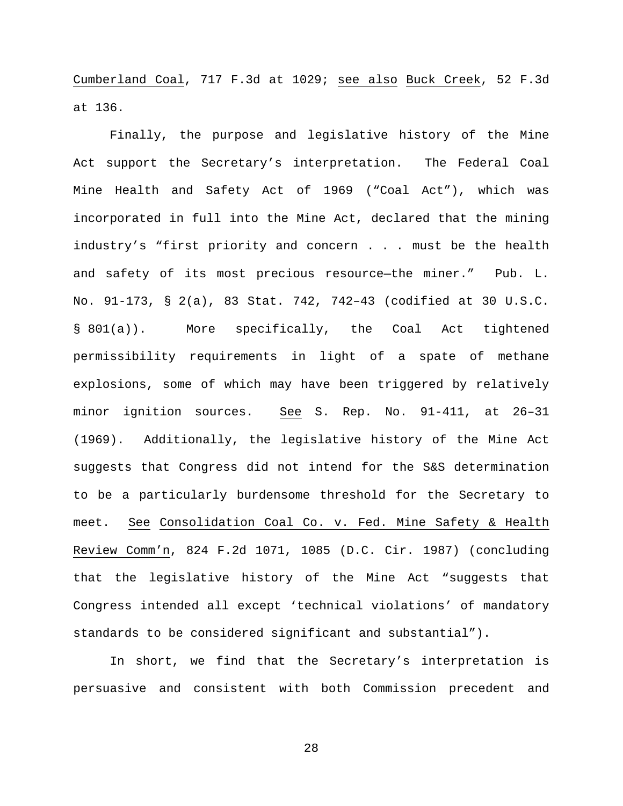Cumberland Coal, 717 F.3d at 1029; see also Buck Creek, 52 F.3d at 136.

Finally, the purpose and legislative history of the Mine Act support the Secretary's interpretation. The Federal Coal Mine Health and Safety Act of 1969 ("Coal Act"), which was incorporated in full into the Mine Act, declared that the mining industry's "first priority and concern . . . must be the health and safety of its most precious resource—the miner." Pub. L. No. 91-173, § 2(a), 83 Stat. 742, 742–43 (codified at 30 U.S.C. § 801(a)). More specifically, the Coal Act tightened permissibility requirements in light of a spate of methane explosions, some of which may have been triggered by relatively minor ignition sources. See S. Rep. No. 91-411, at 26–31 (1969). Additionally, the legislative history of the Mine Act suggests that Congress did not intend for the S&S determination to be a particularly burdensome threshold for the Secretary to meet. See Consolidation Coal Co. v. Fed. Mine Safety & Health Review Comm'n, 824 F.2d 1071, 1085 (D.C. Cir. 1987) (concluding that the legislative history of the Mine Act "suggests that Congress intended all except 'technical violations' of mandatory standards to be considered significant and substantial").

In short, we find that the Secretary's interpretation is persuasive and consistent with both Commission precedent and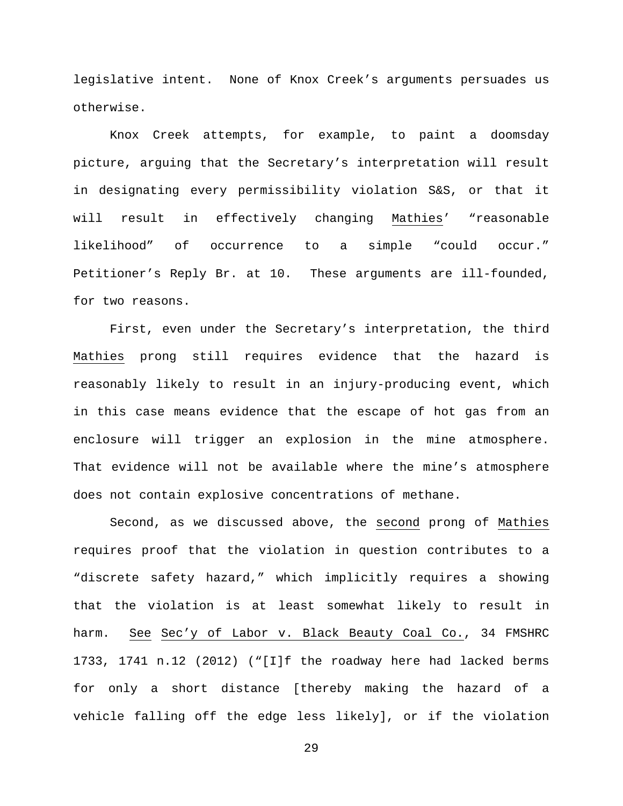legislative intent. None of Knox Creek's arguments persuades us otherwise.

Knox Creek attempts, for example, to paint a doomsday picture, arguing that the Secretary's interpretation will result in designating every permissibility violation S&S, or that it will result in effectively changing Mathies' "reasonable likelihood" of occurrence to a simple "could occur." Petitioner's Reply Br. at 10. These arguments are ill-founded, for two reasons.

First, even under the Secretary's interpretation, the third Mathies prong still requires evidence that the hazard is reasonably likely to result in an injury-producing event, which in this case means evidence that the escape of hot gas from an enclosure will trigger an explosion in the mine atmosphere. That evidence will not be available where the mine's atmosphere does not contain explosive concentrations of methane.

Second, as we discussed above, the second prong of Mathies requires proof that the violation in question contributes to a "discrete safety hazard," which implicitly requires a showing that the violation is at least somewhat likely to result in harm. See Sec'y of Labor v. Black Beauty Coal Co., 34 FMSHRC 1733, 1741 n.12 (2012) ("[I]f the roadway here had lacked berms for only a short distance [thereby making the hazard of a vehicle falling off the edge less likely], or if the violation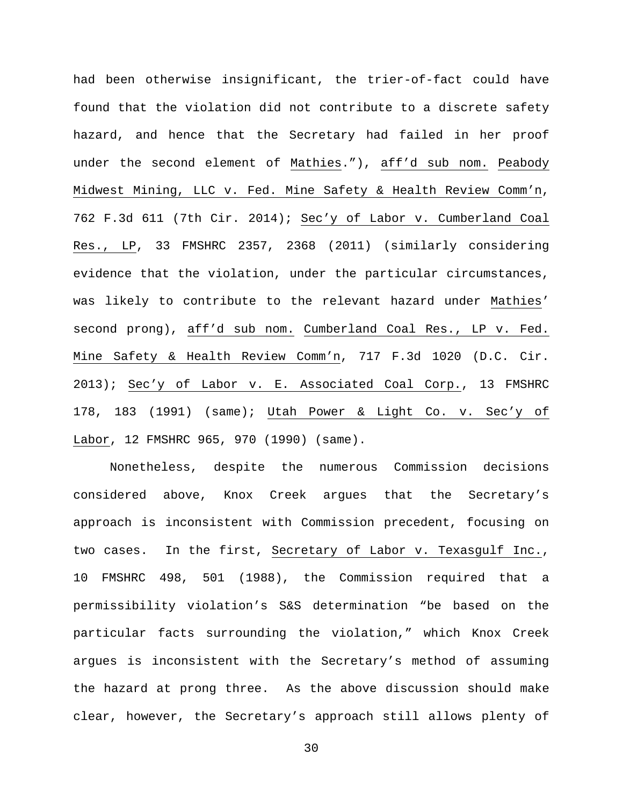had been otherwise insignificant, the trier-of-fact could have found that the violation did not contribute to a discrete safety hazard, and hence that the Secretary had failed in her proof under the second element of Mathies."), aff'd sub nom. Peabody Midwest Mining, LLC v. Fed. Mine Safety & Health Review Comm'n, 762 F.3d 611 (7th Cir. 2014); Sec'y of Labor v. Cumberland Coal Res., LP, 33 FMSHRC 2357, 2368 (2011) (similarly considering evidence that the violation, under the particular circumstances, was likely to contribute to the relevant hazard under Mathies' second prong), aff'd sub nom. Cumberland Coal Res., LP v. Fed. Mine Safety & Health Review Comm'n, 717 F.3d 1020 (D.C. Cir. 2013); Sec'y of Labor v. E. Associated Coal Corp., 13 FMSHRC 178, 183 (1991) (same); Utah Power & Light Co. v. Sec'y of Labor, 12 FMSHRC 965, 970 (1990) (same).

Nonetheless, despite the numerous Commission decisions considered above, Knox Creek argues that the Secretary's approach is inconsistent with Commission precedent, focusing on two cases. In the first, Secretary of Labor v. Texasgulf Inc., 10 FMSHRC 498, 501 (1988), the Commission required that a permissibility violation's S&S determination "be based on the particular facts surrounding the violation," which Knox Creek argues is inconsistent with the Secretary's method of assuming the hazard at prong three. As the above discussion should make clear, however, the Secretary's approach still allows plenty of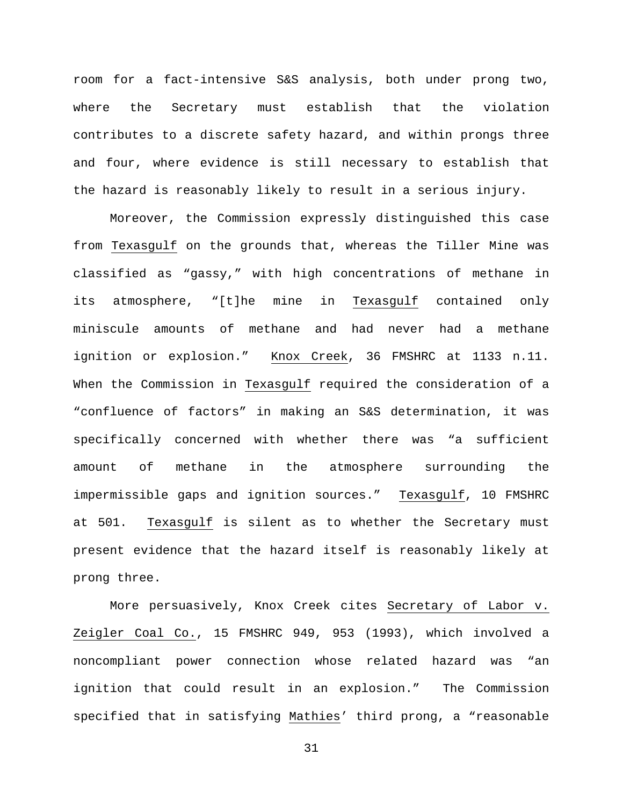room for a fact-intensive S&S analysis, both under prong two, where the Secretary must establish that the violation contributes to a discrete safety hazard, and within prongs three and four, where evidence is still necessary to establish that the hazard is reasonably likely to result in a serious injury.

Moreover, the Commission expressly distinguished this case from Texasgulf on the grounds that, whereas the Tiller Mine was classified as "gassy," with high concentrations of methane in its atmosphere, "[t]he mine in Texasgulf contained only miniscule amounts of methane and had never had a methane ignition or explosion." Knox Creek, 36 FMSHRC at 1133 n.11. When the Commission in Texasgulf required the consideration of a "confluence of factors" in making an S&S determination, it was specifically concerned with whether there was "a sufficient amount of methane in the atmosphere surrounding the impermissible gaps and ignition sources." Texasgulf, 10 FMSHRC at 501. Texasgulf is silent as to whether the Secretary must present evidence that the hazard itself is reasonably likely at prong three.

More persuasively, Knox Creek cites Secretary of Labor v. Zeigler Coal Co., 15 FMSHRC 949, 953 (1993), which involved a noncompliant power connection whose related hazard was "an ignition that could result in an explosion." The Commission specified that in satisfying Mathies' third prong, a "reasonable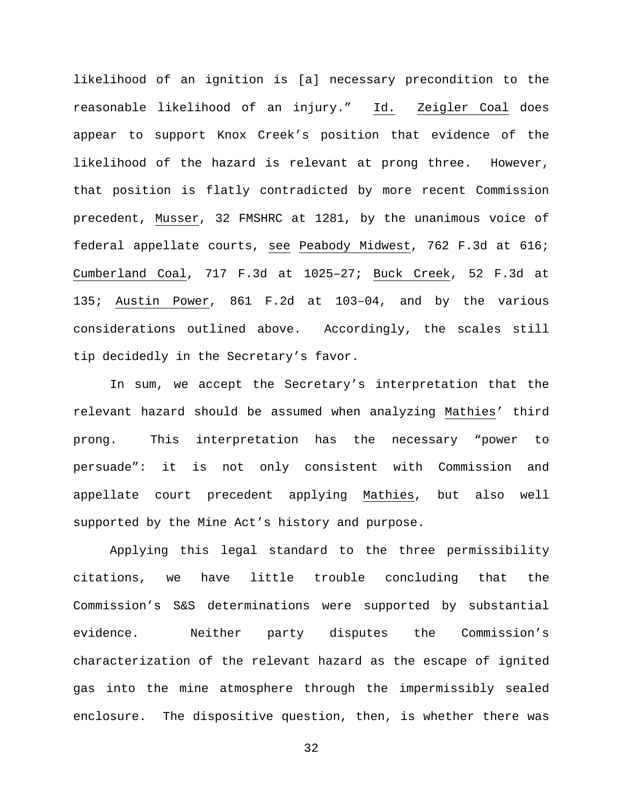likelihood of an ignition is [a] necessary precondition to the reasonable likelihood of an injury." Id. Zeigler Coal does appear to support Knox Creek's position that evidence of the likelihood of the hazard is relevant at prong three. However, that position is flatly contradicted by more recent Commission precedent, Musser, 32 FMSHRC at 1281, by the unanimous voice of federal appellate courts, see Peabody Midwest, 762 F.3d at 616; Cumberland Coal, 717 F.3d at 1025–27; Buck Creek, 52 F.3d at 135; Austin Power, 861 F.2d at 103–04, and by the various considerations outlined above. Accordingly, the scales still tip decidedly in the Secretary's favor.

In sum, we accept the Secretary's interpretation that the relevant hazard should be assumed when analyzing Mathies' third prong. This interpretation has the necessary "power to persuade": it is not only consistent with Commission and appellate court precedent applying Mathies, but also well supported by the Mine Act's history and purpose.

Applying this legal standard to the three permissibility citations, we have little trouble concluding that the Commission's S&S determinations were supported by substantial evidence. Neither party disputes the Commission's characterization of the relevant hazard as the escape of ignited gas into the mine atmosphere through the impermissibly sealed enclosure. The dispositive question, then, is whether there was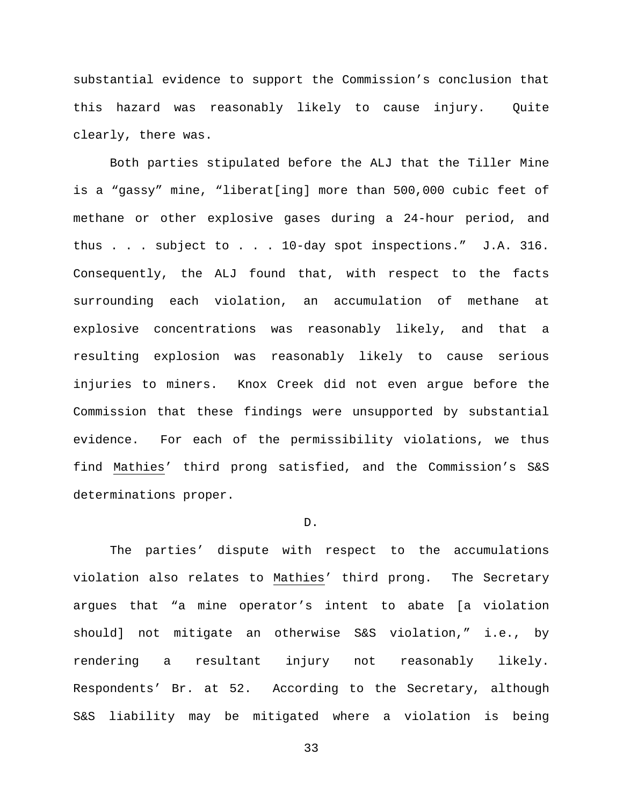substantial evidence to support the Commission's conclusion that this hazard was reasonably likely to cause injury. Quite clearly, there was.

Both parties stipulated before the ALJ that the Tiller Mine is a "gassy" mine, "liberat[ing] more than 500,000 cubic feet of methane or other explosive gases during a 24-hour period, and thus . . . subject to . . . 10-day spot inspections." J.A. 316. Consequently, the ALJ found that, with respect to the facts surrounding each violation, an accumulation of methane at explosive concentrations was reasonably likely, and that a resulting explosion was reasonably likely to cause serious injuries to miners. Knox Creek did not even argue before the Commission that these findings were unsupported by substantial evidence. For each of the permissibility violations, we thus find Mathies' third prong satisfied, and the Commission's S&S determinations proper.

#### D.

The parties' dispute with respect to the accumulations violation also relates to Mathies' third prong. The Secretary argues that "a mine operator's intent to abate [a violation should] not mitigate an otherwise S&S violation," i.e., by rendering a resultant injury not reasonably likely. Respondents' Br. at 52. According to the Secretary, although S&S liability may be mitigated where a violation is being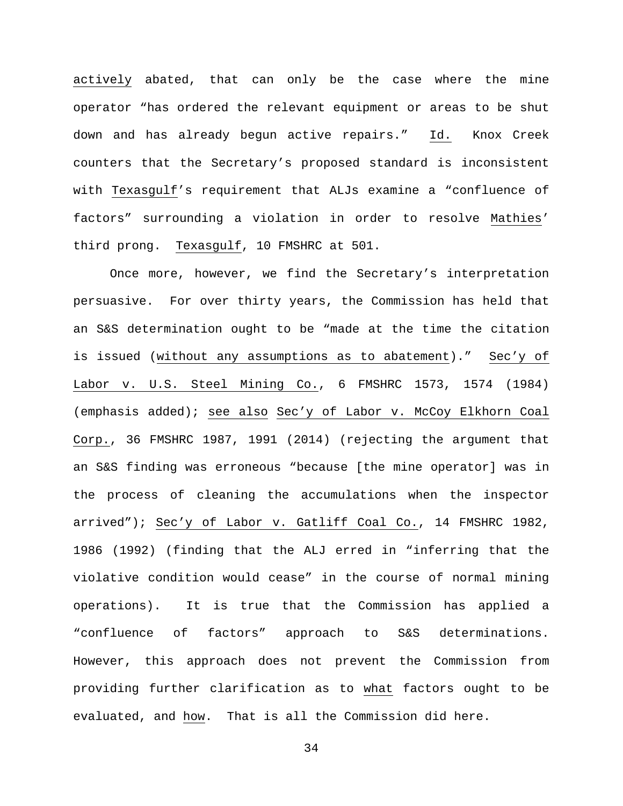actively abated, that can only be the case where the mine operator "has ordered the relevant equipment or areas to be shut down and has already begun active repairs." Id. Knox Creek counters that the Secretary's proposed standard is inconsistent with Texasgulf's requirement that ALJs examine a "confluence of factors" surrounding a violation in order to resolve Mathies' third prong. Texasgulf, 10 FMSHRC at 501.

Once more, however, we find the Secretary's interpretation persuasive. For over thirty years, the Commission has held that an S&S determination ought to be "made at the time the citation is issued (without any assumptions as to abatement)." Sec'y of Labor v. U.S. Steel Mining Co., 6 FMSHRC 1573, 1574 (1984) (emphasis added); see also Sec'y of Labor v. McCoy Elkhorn Coal Corp., 36 FMSHRC 1987, 1991 (2014) (rejecting the argument that an S&S finding was erroneous "because [the mine operator] was in the process of cleaning the accumulations when the inspector arrived"); Sec'y of Labor v. Gatliff Coal Co., 14 FMSHRC 1982, 1986 (1992) (finding that the ALJ erred in "inferring that the violative condition would cease" in the course of normal mining operations). It is true that the Commission has applied a "confluence of factors" approach to S&S determinations. However, this approach does not prevent the Commission from providing further clarification as to what factors ought to be evaluated, and how. That is all the Commission did here.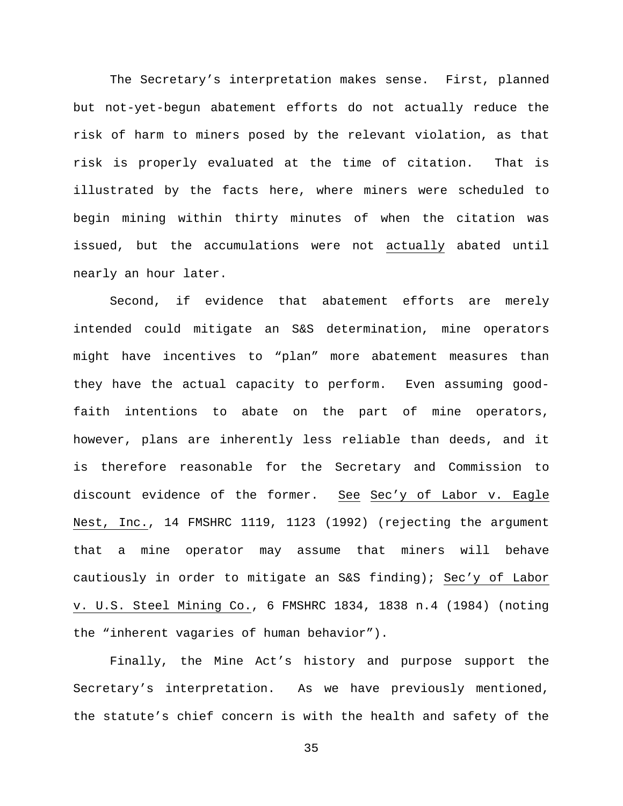The Secretary's interpretation makes sense. First, planned but not-yet-begun abatement efforts do not actually reduce the risk of harm to miners posed by the relevant violation, as that risk is properly evaluated at the time of citation. That is illustrated by the facts here, where miners were scheduled to begin mining within thirty minutes of when the citation was issued, but the accumulations were not actually abated until nearly an hour later.

Second, if evidence that abatement efforts are merely intended could mitigate an S&S determination, mine operators might have incentives to "plan" more abatement measures than they have the actual capacity to perform. Even assuming goodfaith intentions to abate on the part of mine operators, however, plans are inherently less reliable than deeds, and it is therefore reasonable for the Secretary and Commission to discount evidence of the former. See Sec'y of Labor v. Eagle Nest, Inc., 14 FMSHRC 1119, 1123 (1992) (rejecting the argument that a mine operator may assume that miners will behave cautiously in order to mitigate an S&S finding); Sec'y of Labor v. U.S. Steel Mining Co., 6 FMSHRC 1834, 1838 n.4 (1984) (noting the "inherent vagaries of human behavior").

Finally, the Mine Act's history and purpose support the Secretary's interpretation. As we have previously mentioned, the statute's chief concern is with the health and safety of the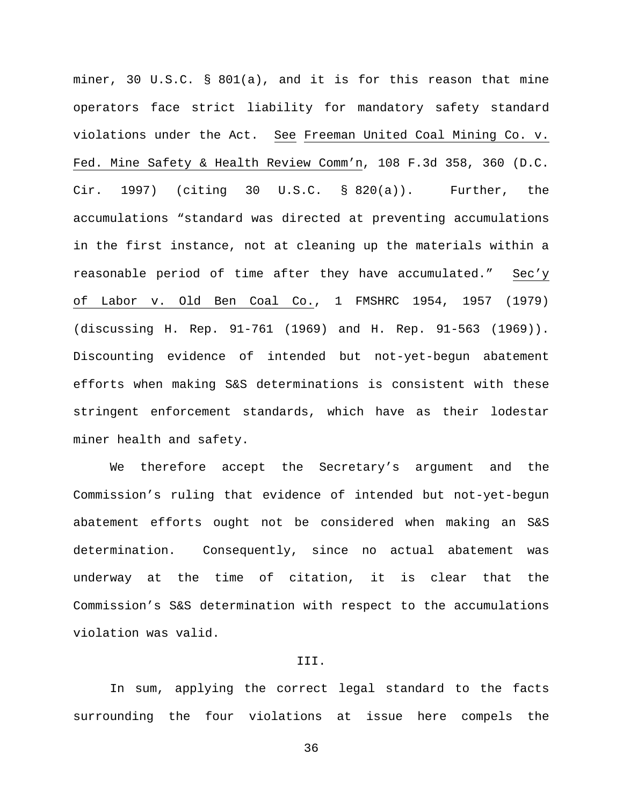miner, 30 U.S.C. § 801(a), and it is for this reason that mine operators face strict liability for mandatory safety standard violations under the Act. See Freeman United Coal Mining Co. v. Fed. Mine Safety & Health Review Comm'n, 108 F.3d 358, 360 (D.C. Cir. 1997) (citing 30 U.S.C. § 820(a)). Further, the accumulations "standard was directed at preventing accumulations in the first instance, not at cleaning up the materials within a reasonable period of time after they have accumulated." Sec'y of Labor v. Old Ben Coal Co., 1 FMSHRC 1954, 1957 (1979) (discussing H. Rep. 91-761 (1969) and H. Rep. 91-563 (1969)). Discounting evidence of intended but not-yet-begun abatement efforts when making S&S determinations is consistent with these stringent enforcement standards, which have as their lodestar miner health and safety.

We therefore accept the Secretary's argument and the Commission's ruling that evidence of intended but not-yet-begun abatement efforts ought not be considered when making an S&S determination. Consequently, since no actual abatement was underway at the time of citation, it is clear that the Commission's S&S determination with respect to the accumulations violation was valid.

## III.

In sum, applying the correct legal standard to the facts surrounding the four violations at issue here compels the